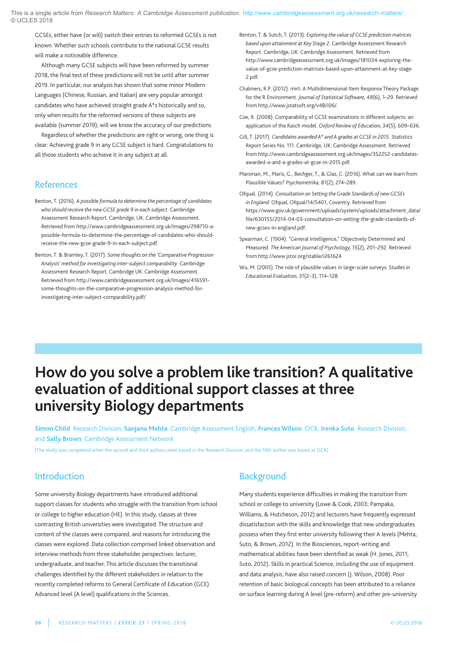GCSEs, either have (or will) switch their entries to reformed GCSEs is not known. Whether such schools contribute to the national GCSE results will make a noticeable difference.

although many gCSE subjects will have been reformed by summer 2018, the final test of these predictions will not be until after summer 2019. In particular, our analysis has shown that some minor Modern languages (Chinese, Russian, and Italian) are very popular amongst candidates who have achieved straight grade a\*s historically and so, only when results for the reformed versions of these subjects are available (summer 2019), will we know the accuracy of our predictions.

Regardless of whether the predictions are right or wrong, one thing is clear: Achieving grade 9 in any GCSE subject is hard. Congratulations to all those students who achieve it in any subject at all.

## **References**

- Benton, T. (2016). *A possible formula to determine the percentage of candidates who should receive the newGCSE grade 9 in each subject*. Cambridge Assessment Research Report. Cambridge, UK: Cambridge Assessment. Retrieved from http://www.cambridgeassessment.org.uk/Images/298710-apossible-formula-to-determine-the-percentage-of-candidates-who-shouldreceive-the-new-gcse-grade-9-in-each-subject.pdf.
- Benton, T. & Bramley, T. (2017). *Some thoughts on the 'Comparative Progression Analysis' method for investigating inter-subject comparability*. Cambridge Assessment Research Report. Cambridge UK: Cambridge Assessment. Retrieved from http://www.cambridgeassessment.org.uk/Images/416591 some-thoughts-on-the-comparative-progression-analysis-method-forinvestigating-inter-subject-comparability.pdf/
- Benton, T. & Sutch, T. (2013). *Exploring the value of GCSE prediction matrices based upon attainment at Key Stage 2*. Cambridge assessment Research Report. Cambridge, uK: Cambridge assessment. Retrieved from http://www.cambridgeassessment.org.uk/Images/181034-exploring-thevalue-of-gcse-prediction-matrices-based-upon-attainment-at-key-stage-2.pdf.
- Chalmers, R.p. (2012). mirt: a Multidimensional Item Response Theory package for the R Environment. *Journal of Statistical Software, 48*(6), 1–29. Retrieved from http://www.jstatsoft.org/v48/i06/.
- Coe, R. (2008). Comparability of gCSE examinations in different subjects: an application of the Rasch model. *Oxford Reviewof Education, 34*(5), 609–636.
- gill, T. (2017). *Candidates awarded A\* and A grades at GCSE in 2015*. Statistics Report Series No. 111. Cambridge, UK: Cambridge Assessment. Retrieved from http://www.cambridgeassessment.org.uk/Images/352252-candidatesawarded-a-and-a-grades-at-gcse-in-2015.pdf.
- Marsman, M., Maris, G., Bechger, T., & Glas, C. (2016). What can we learn from plausible Values? *Psychometrika, 81*(2), 274–289.
- Ofqual. (2014). *Consultation on Setting the Grade Standards of newGCSEs in England*. Ofqual, Ofqual/14/5401, Coventry. Retrieved from https://www.gov.uk/government/uploads/system/uploads/attachment\_data/ file/630155/2014-04-03-consultation-on-setting-the-grade-standards-ofnew-gcses-in-england.pdf.
- Spearman, C. (1904). "General Intelligence," Objectively Determined and Measured. *The American Journal of Psychology, 15*(2), 201–292. Retrieved from http://www.jstor.org/stable/i261624
- Wu, M. (2005). The role of plausible values in large-scale surveys. *Studies in Educational Evaluation, 31*(2–3), 114–128.

# **How do you solve a problem like transition? A qualitative evaluation of additional support classes atthree university Biology departments**

**Simon Child** Research Division, **Sanjana Mehta** Cambridge assessment English, **Frances Wilson** OCR, **Irenka Suto** Research Division, and **Sally Brown** Cambridge Assessment Network

(The study was completed when the second and third authors were based in the Research Division, and the fifth author was based at OCR)

# Introduction

Some university Biology departments have introduced additional support classes for students who struggle with the transition from school or college to higher education (HE). In this study, classes at three contrasting British universities were investigated. The structure and content of the classes were compared, and reasons for introducing the classes were explored. Data collection comprised linked observation and interview methods from three stakeholder perspectives: lecturer, undergraduate, and teacher. This article discusses the transitional challenges identified by the different stakeholders in relation to the recently completed reforms to General Certificate of Education (GCE) Advanced level (A level) qualifications in the Sciences.

# **Background**

Many students experience difficulties in making the transition from school or college to university (lowe & Cook, 2003; pampaka, Williams, & Hutcheson, 2012) and lecturers have frequently expressed dissatisfaction with the skills and knowledge that new undergraduates possess when they first enter university following their a levels (Mehta, Suto, & Brown, 2012). In the Biosciences, report-writing and mathematical abilities have been identified as weak (H. Jones, 2011; Suto, 2012). Skills in practical Science, including the use of equipment and data analysis, have also raised concern (J. Wilson, 2008). poor retention of basic biological concepts has been attributed to a reliance on surface learning during A level (pre-reform) and other pre-university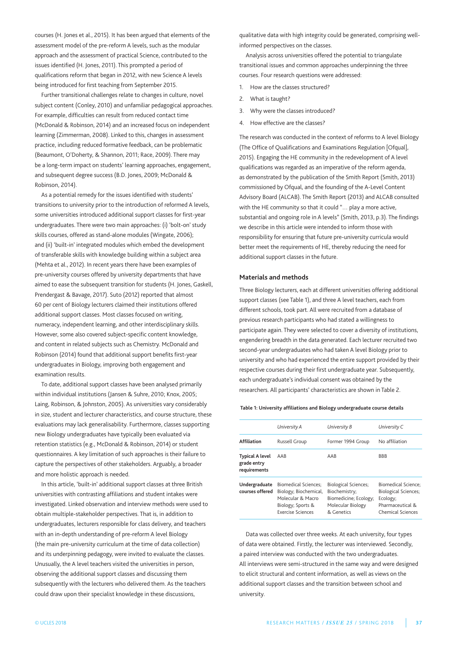courses (H. Jones et al., 2015). It has been argued that elements of the assessment model of the pre-reform A levels, such as the modular approach and the assessment of practical Science, contributed to the issues identified (H. Jones, 2011). This prompted a period of qualifications reform that began in 2012, with new Science A levels being introduced for first teaching from September 2015.

Further transitional challenges relate to changes in culture, novel subject content (Conley, 2010) and unfamiliar pedagogical approaches. For example, difficulties can result from reduced contact time (McDonald & Robinson, 2014) and an increased focus on independent learning (Zimmerman, 2008). linked to this, changes in assessment practice, including reduced formative feedback, can be problematic (Beaumont, O'Doherty, & Shannon, 2011; Race, 2009). There may be a long-term impact on students' learning approaches, engagement, and subsequent degree success (B.D. Jones, 2009; McDonald & Robinson, 2014).

As a potential remedy for the issues identified with students' transitions to university prior to the introduction of reformed a levels, some universities introduced additional support classes for first-year undergraduates. There were two main approaches: (i) 'bolt-on' study skills courses, offered as stand-alone modules (Wingate, 2006); and (ii) 'built-in' integrated modules which embed the development of transferable skills with knowledge building within a subject area (Mehta et al., 2012). In recent years there have been examples of pre-university courses offered by university departments that have aimed to ease the subsequent transition for students (H. Jones, Gaskell, prendergast & Bavage, 2017). Suto (2012) reported that almost 60 per cent of Biology lecturers claimed their institutions offered additional support classes. Most classes focused on writing, numeracy, independent learning, and other interdisciplinary skills. However, some also covered subject-specific content knowledge, and content in related subjects such as Chemistry. McDonald and Robinson (2014) found that additional support benefits first-year undergraduates in Biology, improving both engagement and examination results.

To date, additional support classes have been analysed primarily within individual institutions (Jansen & Suhre, 2010; Knox, 2005; laing, Robinson, & Johnston, 2005). as universities vary considerably in size, student and lecturer characteristics, and course structure, these evaluations may lack generalisability. Furthermore, classes supporting new Biology undergraduates have typically been evaluated via retention statistics (e.g., McDonald & Robinson, 2014) or student questionnaires. a key limitation of such approaches is their failure to capture the perspectives of other stakeholders. Arguably, a broader and more holistic approach is needed.

In this article, 'built-in' additional support classes at three British universities with contrasting affiliations and student intakes were investigated. linked observation and interview methods were used to obtain multiple-stakeholder perspectives. That is, in addition to undergraduates, lecturers responsible for class delivery, and teachers with an in-depth understanding of pre-reform A level Biology (the main pre-university curriculum at the time of data collection) and its underpinning pedagogy, were invited to evaluate the classes. Unusually, the A level teachers visited the universities in person, observing the additional support classes and discussing them subsequently with the lecturers who delivered them. As the teachers could draw upon their specialist knowledge in these discussions,

qualitative data with high integrity could be generated, comprising wellinformed perspectives on the classes.

analysis across universities offered the potential to triangulate transitional issues and common approaches underpinning the three courses. Four research questions were addressed:

- 1. How are the classes structured?
- 2. What is taught?
- 3. Why were the classes introduced?
- 4. How effective are the classes?

The research was conducted in the context of reforms to A level Biology (The Office of Qualifications and Examinations Regulation [Ofqual], 2015). Engaging the HE community in the redevelopment of a level qualifications was regarded as an imperative of the reform agenda, as demonstrated by the publication of the Smith Report (Smith, 2013) commissioned by Ofqual, and the founding of the a-level Content Advisory Board (ALCAB). The Smith Report (2013) and ALCAB consulted with the HE community so that it could "… play a more active, substantial and ongoing role in A levels" (Smith, 2013, p.3). The findings we describe in this article were intended to inform those with responsibility for ensuring that future pre-university curricula would better meet the requirements of HE, thereby reducing the need for additional support classes in the future.

#### **Materials and methods**

Three Biology lecturers, each at different universities offering additional support classes (see Table 1), and three A level teachers, each from different schools, took part. all were recruited from a database of previous research participants who had stated a willingness to participate again. They were selected to cover a diversity of institutions, engendering breadth in the data generated. Each lecturer recruited two second-year undergraduates who had taken a level Biology prior to university and who had experienced the entire support provided by their respective courses during their first undergraduate year. Subsequently, each undergraduate's individual consent was obtained by the researchers. all participants' characteristics are shown in Table 2.

#### **Table 1: University affiliations and Biology undergraduate course details**

|                                                       | University A                                                                                                               | University B                                                                                             | University C                                                                                                          |
|-------------------------------------------------------|----------------------------------------------------------------------------------------------------------------------------|----------------------------------------------------------------------------------------------------------|-----------------------------------------------------------------------------------------------------------------------|
| <b>Affiliation</b>                                    | Russell Group                                                                                                              | Former 1994 Group                                                                                        | No affiliation                                                                                                        |
| <b>Typical A level</b><br>grade entry<br>requirements | AAB                                                                                                                        | AAR                                                                                                      | <b>BBB</b>                                                                                                            |
| Undergraduate<br>courses offered                      | <b>Biomedical Sciences:</b><br>Biology; Biochemical,<br>Molecular & Macro<br>Biology; Sports &<br><b>Exercise Sciences</b> | <b>Biological Sciences;</b><br>Biochemistry;<br>Biomedicine; Ecology;<br>Molecular Biology<br>& Genetics | <b>Biomedical Science:</b><br><b>Biological Sciences;</b><br>Ecology;<br>Pharmaceutical &<br><b>Chemical Sciences</b> |

Data was collected over three weeks. at each university, four types of data were obtained. Firstly, the lecturer was interviewed. Secondly, a paired interview was conducted with the two undergraduates. all interviews were semi-structured in the same way and were designed to elicit structural and content information, as well as views on the additional support classes and the transition between school and university.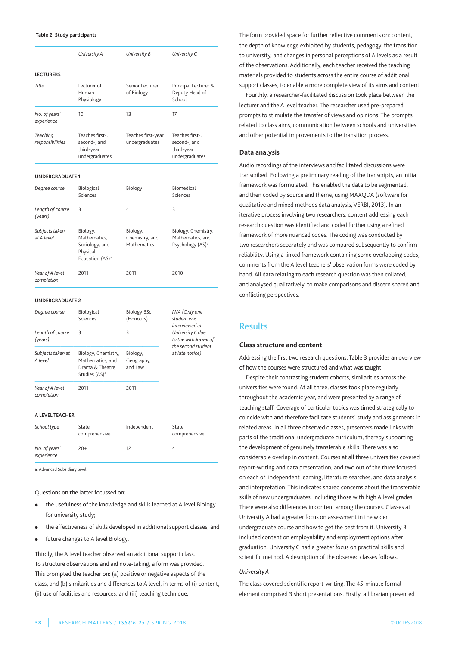#### **Table 2: Study participants**

|                               | University A                                                                          | University B                              | University C                                                                               |
|-------------------------------|---------------------------------------------------------------------------------------|-------------------------------------------|--------------------------------------------------------------------------------------------|
| <b>LECTURERS</b>              |                                                                                       |                                           |                                                                                            |
| Title                         | Lecturer of<br>Human<br>Physiology                                                    | Senior Lecturer<br>of Biology             | Principal Lecturer &<br>Deputy Head of<br>School                                           |
| No. of years'<br>experience   | 10                                                                                    | 13                                        | 17                                                                                         |
| Teaching<br>responsibilities  | Teaches first-,<br>second-, and<br>third-year<br>undergraduates                       | Teaches first-year<br>undergraduates      | Teaches first-,<br>second-, and<br>third-year<br>undergraduates                            |
| UNDERGRADUATE 1               |                                                                                       |                                           |                                                                                            |
| Degree course                 | Biological<br>Sciences                                                                | Biology                                   | Biomedical<br>Sciences                                                                     |
| Length of course<br>(years)   | 3                                                                                     | 4                                         | 3                                                                                          |
| Subjects taken<br>at A level  | Biology,<br>Mathematics,<br>Sociology, and<br>Physical<br>Education (AS) <sup>a</sup> | Biology,<br>Chemistry, and<br>Mathematics | Biology, Chemistry,<br>Mathematics, and<br>Psychology (AS) <sup>a</sup>                    |
| Year of A level<br>completion | 2011                                                                                  | 2011                                      | 2010                                                                                       |
| <b>UNDERGRADUATE 2</b>        |                                                                                       |                                           |                                                                                            |
| Degree course                 | Biological<br>Sciences                                                                | <b>Biology BSc</b><br>(Honours)           | N/A (Only one<br>student was<br>interviewed at<br>University C due<br>to the withdrawal of |
| Length of course<br>(years)   | 3                                                                                     | 3                                         |                                                                                            |
| Subjects taken at             | Biology, Chemistry,                                                                   | Biology,                                  | the second student<br>at late notice)                                                      |

*completion*

**A LEVEL TEACHER**

| School type                 | State<br>comprehensive | Independent | State<br>comprehensive |
|-----------------------------|------------------------|-------------|------------------------|
| No. of years'<br>experience | $20+$                  | 12          |                        |

a. Advanced Subsidiary level.

Questions on the latter focussed on:

*A level* Mathematics, and geography,

Studies (AS)<sup>a</sup> ————————————————————————————— *Year of A level* 2011 2011

Drama & Theatre and law

- the usefulness of the knowledge and skills learned at A level Biology for university study;
- **●** the effectiveness of skills developed in additional support classes; and
- **•** future changes to A level Biology.

Thirdly, the A level teacher observed an additional support class. To structure observations and aid note-taking, a form was provided. This prompted the teacher on: (a) positive or negative aspects of the class, and (b) similarities and differences to a level, in terms of (i) content, (ii) use of facilities and resources, and (iii) teaching technique.

The form provided space for further reflective comments on: content, the depth of knowledge exhibited by students, pedagogy, the transition to university, and changes in personal perceptions of A levels as a result of the observations. additionally, each teacher received the teaching materials provided to students across the entire course of additional support classes, to enable a more complete view of its aims and content.

Fourthly, a researcher-facilitated discussion took place between the lecturer and the A level teacher. The researcher used pre-prepared prompts to stimulate the transfer of views and opinions. The prompts related to class aims, communication between schools and universities, and other potential improvements to the transition process.

#### **Data analysis**

audio recordings of the interviews and facilitated discussions were transcribed. Following a preliminary reading of the transcripts, an initial framework was formulated. This enabled the data to be segmented, and then coded by source and theme, using MaXQDa (software for qualitative and mixed methods data analysis, VERBI, 2013). In an iterative process involving two researchers, content addressing each research question was identified and coded further using a refined framework of more nuanced codes. The coding was conducted by two researchers separately and was compared subsequently to confirm reliability. Using a linked framework containing some overlapping codes, comments from the a level teachers' observation forms were coded by hand. All data relating to each research question was then collated, and analysed qualitatively, to make comparisons and discern shared and conflicting perspectives.

## Results

#### **Class structure and content**

addressing the first two research questions, Table 3 provides an overview of how the courses were structured and what was taught.

Despite their contrasting student cohorts, similarities across the universities were found. at all three, classes took place regularly throughout the academic year, and were presented by a range of teaching staff. Coverage of particular topics was timed strategically to coincide with and therefore facilitate students' study and assignments in related areas. In all three observed classes, presenters made links with parts of the traditional undergraduate curriculum, thereby supporting the development of genuinely transferable skills. There was also considerable overlap in content. Courses at all three universities covered report-writing and data presentation, and two out of the three focused on each of: independent learning, literature searches, and data analysis and interpretation. This indicates shared concerns about the transferable skills of new undergraduates, including those with high A level grades. There were also differences in content among the courses. Classes at University A had a greater focus on assessment in the wider undergraduate course and how to get the best from it. University B included content on employability and employment options after graduation. University C had a greater focus on practical skills and scientific method. a description of the observed classes follows.

#### *University A*

The class covered scientific report-writing. The 45-minute formal element comprised 3 short presentations. Firstly, a librarian presented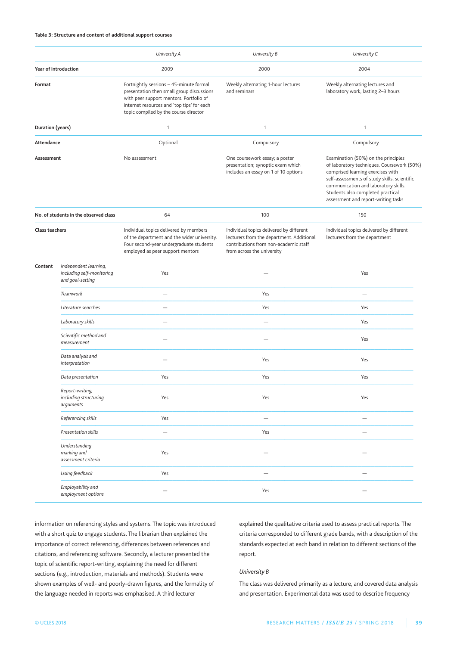#### **Table 3: Structure and content of additional support courses**

|                                       |                                                                        | University A                                                                                                                                                                                                           | University B                                                                                                                                                 | University C                                                                                                                                                                                                                                                                               |
|---------------------------------------|------------------------------------------------------------------------|------------------------------------------------------------------------------------------------------------------------------------------------------------------------------------------------------------------------|--------------------------------------------------------------------------------------------------------------------------------------------------------------|--------------------------------------------------------------------------------------------------------------------------------------------------------------------------------------------------------------------------------------------------------------------------------------------|
| Year of introduction                  |                                                                        | 2009                                                                                                                                                                                                                   | 2000                                                                                                                                                         | 2004                                                                                                                                                                                                                                                                                       |
| Format                                |                                                                        | Fortnightly sessions - 45-minute formal<br>presentation then small group discussions<br>with peer support mentors. Portfolio of<br>internet resources and 'top tips' for each<br>topic compiled by the course director | Weekly alternating 1-hour lectures<br>and seminars                                                                                                           | Weekly alternating lectures and<br>laboratory work, lasting 2-3 hours                                                                                                                                                                                                                      |
| Duration (years)                      |                                                                        | $\mathbf{1}$                                                                                                                                                                                                           | 1                                                                                                                                                            | 1                                                                                                                                                                                                                                                                                          |
| Attendance                            |                                                                        | Optional                                                                                                                                                                                                               | Compulsory                                                                                                                                                   | Compulsory                                                                                                                                                                                                                                                                                 |
| Assessment                            |                                                                        | No assessment                                                                                                                                                                                                          | One coursework essay; a poster<br>presentation; synoptic exam which<br>includes an essay on 1 of 10 options                                                  | Examination (50%) on the principles<br>of laboratory techniques. Coursework (50%)<br>comprised learning exercises with<br>self-assessments of study skills, scientific<br>communication and laboratory skills.<br>Students also completed practical<br>assessment and report-writing tasks |
| No. of students in the observed class |                                                                        | 64                                                                                                                                                                                                                     | 100                                                                                                                                                          | 150                                                                                                                                                                                                                                                                                        |
| Class teachers                        |                                                                        | Individual topics delivered by members<br>of the department and the wider university.<br>Four second-year undergraduate students<br>employed as peer support mentors                                                   | Individual topics delivered by different<br>lecturers from the department. Additional<br>contributions from non-academic staff<br>from across the university | Individual topics delivered by different<br>lecturers from the department                                                                                                                                                                                                                  |
| Content                               | Independent learning,<br>including self-monitoring<br>and goal-setting | Yes                                                                                                                                                                                                                    |                                                                                                                                                              | Yes                                                                                                                                                                                                                                                                                        |
|                                       | Teamwork                                                               | $\overline{\phantom{0}}$                                                                                                                                                                                               | Yes                                                                                                                                                          |                                                                                                                                                                                                                                                                                            |
|                                       | Literature searches                                                    | $\overline{\phantom{0}}$                                                                                                                                                                                               | Yes                                                                                                                                                          | Yes                                                                                                                                                                                                                                                                                        |
|                                       | Laboratory skills                                                      | $\overline{\phantom{0}}$                                                                                                                                                                                               |                                                                                                                                                              | Yes                                                                                                                                                                                                                                                                                        |
|                                       | Scientific method and<br>measurement                                   |                                                                                                                                                                                                                        |                                                                                                                                                              | Yes                                                                                                                                                                                                                                                                                        |
|                                       | Data analysis and<br>interpretation                                    |                                                                                                                                                                                                                        | Yes                                                                                                                                                          | Yes                                                                                                                                                                                                                                                                                        |
|                                       | Data presentation                                                      | Yes                                                                                                                                                                                                                    | Yes                                                                                                                                                          | Yes                                                                                                                                                                                                                                                                                        |
|                                       | Report-writing,<br>including structuring<br>arguments                  | Yes                                                                                                                                                                                                                    | Yes                                                                                                                                                          | Yes                                                                                                                                                                                                                                                                                        |
|                                       | Referencing skills                                                     | Yes                                                                                                                                                                                                                    |                                                                                                                                                              |                                                                                                                                                                                                                                                                                            |
|                                       | Presentation skills                                                    | $\overline{\phantom{0}}$                                                                                                                                                                                               | Yes                                                                                                                                                          |                                                                                                                                                                                                                                                                                            |
|                                       | Understanding<br>marking and<br>assessment criteria                    | Yes                                                                                                                                                                                                                    |                                                                                                                                                              |                                                                                                                                                                                                                                                                                            |
|                                       | Using feedback                                                         | Yes                                                                                                                                                                                                                    |                                                                                                                                                              |                                                                                                                                                                                                                                                                                            |
|                                       | Employability and<br>employment options                                |                                                                                                                                                                                                                        | Yes                                                                                                                                                          |                                                                                                                                                                                                                                                                                            |

information on referencing styles and systems. The topic was introduced with a short quiz to engage students. The librarian then explained the importance of correct referencing, differences between references and citations, and referencing software. Secondly, a lecturer presented the topic of scientific report-writing, explaining the need for different sections (e.g., introduction, materials and methods). Students were shown examples of well- and poorly-drawn figures, and the formality of the language needed in reports was emphasised. a third lecturer

explained the qualitative criteria used to assess practical reports. The criteria corresponded to different grade bands, with a description of the standards expected at each band in relation to different sections of the report.

#### *University B*

The class was delivered primarily as a lecture, and covered data analysis and presentation. Experimental data was used to describe frequency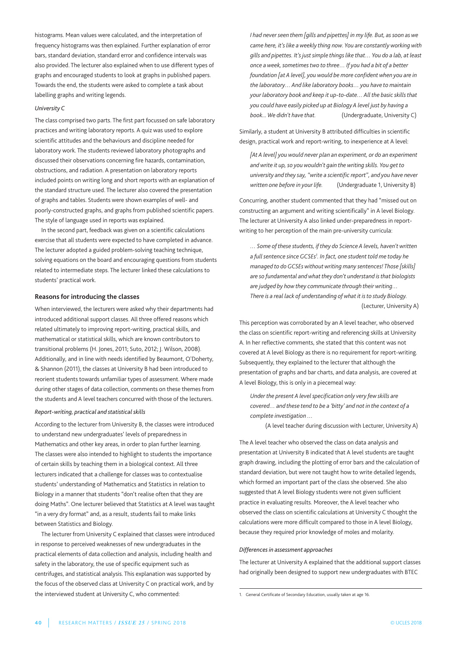histograms. Mean values were calculated, and the interpretation of frequency histograms was then explained. Further explanation of error bars, standard deviation, standard error and confidence intervals was also provided. The lecturer also explained when to use different types of graphs and encouraged students to look at graphs in published papers. Towards the end, the students were asked to complete a task about labelling graphs and writing legends.

#### *University C*

The class comprised two parts. The first part focussed on safe laboratory practices and writing laboratory reports. A quiz was used to explore scientific attitudes and the behaviours and discipline needed for laboratory work. The students reviewed laboratory photographs and discussed their observations concerning fire hazards, contamination, obstructions, and radiation. a presentation on laboratory reports included points on writing long and short reports with an explanation of the standard structure used. The lecturer also covered the presentation of graphs and tables. Students were shown examples of well- and poorly-constructed graphs, and graphs from published scientific papers. The style of language used in reports was explained.

In the second part, feedback was given on a scientific calculations exercise that all students were expected to have completed in advance. The lecturer adopted a guided problem-solving teaching technique, solving equations on the board and encouraging questions from students related to intermediate steps. The lecturer linked these calculations to students' practical work.

#### **Reasons for introducing the classes**

When interviewed, the lecturers were asked why their departments had introduced additional support classes. all three offered reasons which related ultimately to improving report-writing, practical skills, and mathematical or statistical skills, which are known contributors to transitional problems (H. Jones, 2011; Suto, 2012; J. Wilson, 2008). additionally, and in line with needs identified by Beaumont, O'Doherty, & Shannon (2011), the classes at University B had been introduced to reorient students towards unfamiliar types of assessment. Where made during other stages of data collection, comments on these themes from the students and A level teachers concurred with those of the lecturers.

#### *Report-writing, practical and statisticalskills*

According to the lecturer from University B, the classes were introduced to understand new undergraduates' levels of preparedness in Mathematics and other key areas, in order to plan further learning. The classes were also intended to highlight to students the importance of certain skills by teaching them in a biological context. all three lecturers indicated that a challenge for classes was to contextualise students' understanding of Mathematics and Statistics in relation to Biology in a manner that students "don't realise often that they are doing Maths". One lecturer believed that Statistics at A level was taught "in a very dry format" and, as a result, students fail to make links between Statistics and Biology.

The lecturer from University C explained that classes were introduced in response to perceived weaknesses of new undergraduates in the practical elements of data collection and analysis, including health and safety in the laboratory, the use of specific equipment such as centrifuges, and statistical analysis. This explanation was supported by the focus of the observed class at University C on practical work, and by the interviewed student at University C, who commented:

*I had never seen them [gills and pipettes] in my life. But, as soon aswe came here, it's like aweekly thing now. You are constantlyworkingwith gills and pipettes. It's just simple things like that… You do a lab, at least once aweek, sometimestwo to three… If you had a bit of a better foundation [at A level], youwould be more confidentwhen you are in the laboratory… And like laboratory books… you have to maintain your laboratory book and keep it up-to-date… All the basic skillsthat you could have easily picked up at Biology A level just by having a book...* We didn't have that. (Undergraduate, University C)

Similarly, a student at University B attributed difficulties in scientific design, practical work and report-writing, to inexperience at A level:

*[At A level] youwould never plan an experiment, or do an experiment andwrite it up, so youwouldn't gain thewriting skills. You get to university and they say,"write a scientific report", and you have never written one before in your life.* (Undergraduate 1, University B)

Concurring, another student commented that they had "missed out on constructing an argument and writing scientifically" in a level Biology. The lecturer at University A also linked under-preparedness in reportwriting to her perception of the main pre-university curricula:

*… Some of these students, if they do Science A levels, haven'twritten a full sentence since GCSEs1 . In fact, one student told me today he managed to do GCSEswithoutwriting many sentences! Those [skills] are so fundamental andwhat they don't understand isthat biologists are judged by howthey communicate through theirwriting… There is a real lack of understanding ofwhat it isto study Biology.* (Lecturer, University A)

This perception was corroborated by an A level teacher, who observed the class on scientific report-writing and referencing skills at University a. In her reflective comments, she stated that this content was not covered at A level Biology as there is no requirement for report-writing. Subsequently, they explained to the lecturer that although the presentation of graphs and bar charts, and data analysis, are covered at a level Biology, this is only in a piecemeal way:

*Under the present A level specification only very few skills are covered… and these tend to be a 'bitty' and not in the context of a complete investigation …*

(A level teacher during discussion with Lecturer, University A)

The A level teacher who observed the class on data analysis and presentation at University B indicated that A level students are taught graph drawing, including the plotting of error bars and the calculation of standard deviation, but were not taught how to write detailed legends, which formed an important part of the class she observed. She also suggested that A level Biology students were not given sufficient practice in evaluating results. Moreover, the a level teacher who observed the class on scientific calculations at University C thought the calculations were more difficult compared to those in a level Biology, because they required prior knowledge of moles and molarity.

#### *Differencesin assessment approaches*

The lecturer at University A explained that the additional support classes had originally been designed to support new undergraduates with BTEC

<sup>1.</sup> general Certificate of Secondary Education, usually taken at age 16.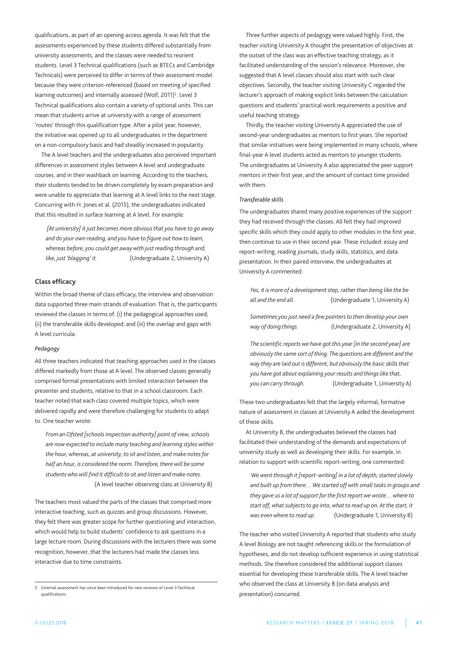qualifications, as part of an opening access agenda. It was felt that the assessments experienced by these students differed substantially from university assessments, and the classes were needed to reorient students. level 3 Technical qualifications (such as BTECs and Cambridge Technicals) were perceived to differ in terms of their assessment model because they were criterion-referenced (based on meeting of specified learning outcomes) and internally assessed (Wolf, 2011) 2 . level 3 Technical qualifications also contain a variety of optional units. This can mean that students arrive at university with a range of assessment 'routes' through this qualification type. after a pilot year, however, the initiative was opened up to all undergraduates in the department on a non-compulsory basis and had steadily increased in popularity.

The A level teachers and the undergraduates also perceived important differences in assessment styles between a level and undergraduate courses, and in their washback on learning. according to the teachers, their students tended to be driven completely by exam preparation and were unable to appreciate that learning at A level links to the next stage. Concurring with H. Jones et al. (2015), the undergraduates indicated that this resulted in surface learning at A level. For example:

*[At university] it just becomes more obviousthat you have to go away and do your own reading, and you have to figure out howto learn, whereas before, you could get awaywith just reading through and, like, just 'blagging' it.* (Undergraduate 2, University A)

#### **Class efficacy**

Within the broad theme of class efficacy, the interview and observation data supported three main strands of evaluation. That is, the participants reviewed the classes in terms of: (i) the pedagogical approaches used; (ii) the transferable skills developed; and (iii) the overlap and gaps with a level curricula.

#### *Pedagogy*

all three teachers indicated that teaching approaches used in the classes differed markedly from those at A level. The observed classes generally comprised formal presentations with limited interaction between the presenter and students, relative to that in a school classroom. Each teacher noted that each class covered multiple topics, which were delivered rapidly and were therefore challenging for students to adapt to. One teacher wrote:

*From an Ofsted [schools inspection authority] point of view, schools are now expected to include many teaching and learning styleswithin the hour,whereas, at university, to sit and listen, and make notes for half an hour, is considered the norm. Therefore, therewill be some studentswhowill find it difficult to sit and listen and make notes.* (A level teacher observing class at University B)

The teachers most valued the parts of the classes that comprised more interactive teaching, such as quizzes and group discussions. However, they felt there was greater scope for further questioning and interaction, which would help to build students' confidence to ask questions in a large lecture room. During discussions with the lecturers there was some recognition, however, that the lecturers had made the classes less interactive due to time constraints.

Three further aspects of pedagogy were valued highly. First, the teacher visiting University A thought the presentation of objectives at the outset of the class was an effective teaching strategy, as it facilitated understanding of the session's relevance. Moreover, she suggested that A level classes should also start with such clear objectives. Secondly, the teacher visiting University C regarded the lecturer's approach of making explicit links between the calculation questions and students' practical work requirements a positive and useful teaching strategy.

Thirdly, the teacher visiting University A appreciated the use of second-year undergraduates as mentors to first years. She reported that similar initiatives were being implemented in many schools, where final-year A level students acted as mentors to younger students. The undergraduates at University A also appreciated the peer support mentors in their first year, and the amount of contact time provided with them.

#### *Transferable skills*

The undergraduates shared many positive experiences of the support they had received through the classes. all felt they had improved specific skills which they could apply to other modules in the first year, then continue to use in their second year. These included: essay and report-writing, reading journals, study skills, statistics, and data presentation. In their paired interview, the undergraduates at University A commented:

*Yes, it is more of a development step, rather than being like the be* all *and* the end all. (Undergraduate 1, University A)

*Sometimes you just need a few pointersto then develop your own way of doing things.* (Undergraduate 2, University A)

*The scientific reportswe have got this year [in the second year] are obviously the same sort of thing. The questions are different and the way they are laid out is different, but obviously the basic skillsthat you have got about explaining your results and things like that, you can carry through.* (Undergraduate 1, University A)

These two undergraduates felt that the largely informal, formative nature of assessment in classes at University A aided the development of these skills.

At University B, the undergraduates believed the classes had facilitated their understanding of the demands and expectations of university study as well as developing their skills. For example, in relation to support with scientific report-writing, one commented:

*Wewent through it [report-writing] in a lot of depth, started slowly and built up from there… We started offwith small tasks in groups and they gave us a lot of support for the first reportwewrote… where to start off,what subjectsto go into,what to read up on. At the start, it was even where to read up.* (Undergraduate 1, University B)

The teacher who visited University A reported that students who study a level Biology are not taught referencing skills or the formulation of hypotheses, and do not develop sufficient experience in using statistical methods. She therefore considered the additional support classes essential for developing these transferable skills. The A level teacher who observed the class at University B (on data analysis and presentation) concurred.

<sup>2.</sup> External assessment has since been introduced for new versions of level 3 Technical qualifications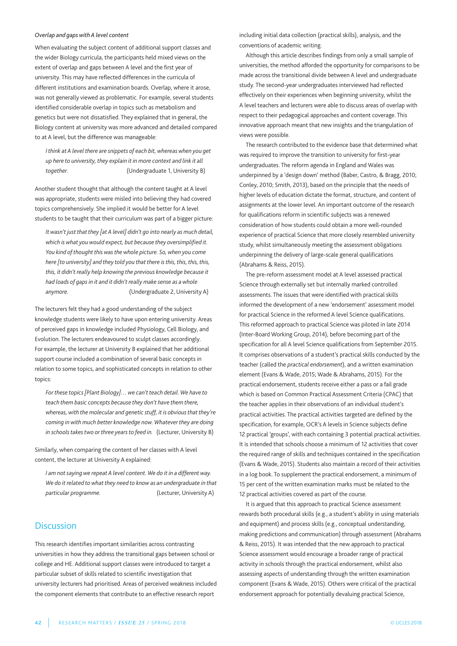#### *Overlap and gapswith A level content*

When evaluating the subject content of additional support classes and the wider Biology curricula, the participants held mixed views on the extent of overlap and gaps between A level and the first year of university. This may have reflected differences in the curricula of different institutions and examination boards. Overlap, where it arose, was not generally viewed as problematic. For example, several students identified considerable overlap in topics such as metabolism and genetics but were not dissatisfied. They explained that in general, the Biology content at university was more advanced and detailed compared to at A level, but the difference was manageable:

*I think at A level there are snippets of each bit,whereaswhen you get up here to university, they explain it in more context and link it all* together. **the intervalle in the Undergraduate 1, University B)** 

Another student thought that although the content taught at A level was appropriate, students were misled into believing they had covered topics comprehensively. She implied it would be better for a level students to be taught that their curriculum was part of a bigger picture:

*Itwasn't just that they [at A level] didn't go into nearly as much detail, which iswhat youwould expect, but because they oversimplified it. You kind of thought thiswasthewhole picture. So,when you come here [to university] and they told you that there isthis, this, this, this, this, it didn't really help knowing the previous knowledge because it had loads of gaps in it and it didn't really make sense as awhole* anymore. **anymore** (Undergraduate 2, University A)

The lecturers felt they had a good understanding of the subject knowledge students were likely to have upon entering university. Areas of perceived gaps in knowledge included physiology, Cell Biology, and Evolution. The lecturers endeavoured to sculpt classes accordingly. For example, the lecturer at University B explained that her additional support course included a combination of several basic concepts in relation to some topics, and sophisticated concepts in relation to other topics:

*For these topics [Plant Biology]… we can't teach detail. We have to teach them basic concepts because they don't have them there, whereas,with the molecular and genetic stuff, it is obviousthat they're coming inwith much better knowledge now. Whatever they are doing in schoolstakestwo or three yearsto feed in.* (lecturer, university B)

Similarly, when comparing the content of her classes with A level content, the lecturer at University A explained:

*I am not sayingwe repeat A level content. We do it in a differentway. We do it related towhat they need to know as an undergraduate in that particular programme.* (Lecturer, University A)

## **Discussion**

This research identifies important similarities across contrasting universities in how they address the transitional gaps between school or college and HE. additional support classes were introduced to target a particular subset of skills related to scientific investigation that university lecturers had prioritised. areas of perceived weakness included the component elements that contribute to an effective research report

including initial data collection (practical skills), analysis, and the conventions of academic writing.

although this article describes findings from only a small sample of universities, the method afforded the opportunity for comparisons to be made across the transitional divide between a level and undergraduate study. The second-year undergraduates interviewed had reflected effectively on their experiences when beginning university, whilst the a level teachers and lecturers were able to discuss areas of overlap with respect to their pedagogical approaches and content coverage. This innovative approach meant that new insights and the triangulation of views were possible.

The research contributed to the evidence base that determined what was required to improve the transition to university for first-year undergraduates. The reform agenda in England and Wales was underpinned by a 'design down' method (Baber, Castro, & Bragg, 2010; Conley, 2010; Smith, 2013), based on the principle that the needs of higher levels of education dictate the format, structure, and content of assignments at the lower level. an important outcome of the research for qualifications reform in scientific subjects was a renewed consideration of how students could obtain a more well-rounded experience of practical Science that more closely resembled university study, whilst simultaneously meeting the assessment obligations underpinning the delivery of large-scale general qualifications (abrahams & Reiss, 2015).

The pre-reform assessment model at A level assessed practical Science through externally set but internally marked controlled assessments. The issues that were identified with practical skills informed the development of a new 'endorsement' assessment model for practical Science in the reformed A level Science qualifications. This reformed approach to practical Science was piloted in late 2014 (Inter-Board Working Group, 2014), before becoming part of the specification for all a level Science qualifications from September 2015. It comprises observations of a student's practical skills conducted by the teacher (called the *practical endorsement*), and a written examination element (Evans & Wade, 2015; Wade & abrahams, 2015). For the practical endorsement, students receive either a pass or a fail grade which is based on Common Practical Assessment Criteria (CPAC) that the teacher applies in their observations of an individual student's practical activities. The practical activities targeted are defined by the specification, for example, OCR's a levels in Science subjects define 12 practical 'groups', with each containing 3 potential practical activities. It is intended that schools choose a minimum of 12 activities that cover the required range of skills and techniques contained in the specification (Evans & Wade, 2015). Students also maintain a record of their activities in a log book. To supplement the practical endorsement, a minimum of 15 per cent of the written examination marks must be related to the 12 practical activities covered as part of the course.

It is argued that this approach to practical Science assessment rewards both procedural skills (e.g., a student's ability in using materials and equipment) and process skills (e.g., conceptual understanding, making predictions and communication) through assessment (abrahams & Reiss, 2015). It was intended that the new approach to practical Science assessment would encourage a broader range of practical activity in schools through the practical endorsement, whilst also assessing aspects of understanding through the written examination component (Evans & Wade, 2015). Others were critical of the practical endorsement approach for potentially devaluing practical Science,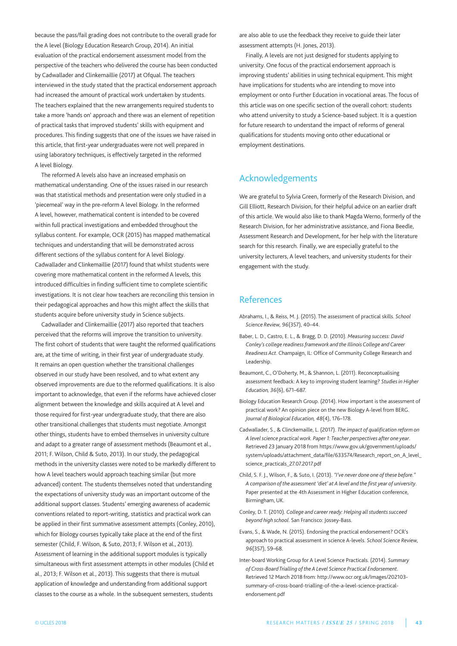because the pass/fail grading does not contribute to the overall grade for the A level (Biology Education Research Group, 2014). An initial evaluation of the practical endorsement assessment model from the perspective of the teachers who delivered the course has been conducted by Cadwallader and Clinkemaillie (2017) at Ofqual. The teachers interviewed in the study stated that the practical endorsement approach had increased the amount of practical work undertaken by students. The teachers explained that the new arrangements required students to take a more 'hands on' approach and there was an element of repetition of practical tasks that improved students' skills with equipment and procedures. This finding suggests that one of the issues we have raised in this article, that first-year undergraduates were not well prepared in using laboratory techniques, is effectively targeted in the reformed a level Biology.

The reformed A levels also have an increased emphasis on mathematical understanding. One of the issues raised in our research was that statistical methods and presentation were only studied in a 'piecemeal' way in the pre-reform A level Biology. In the reformed a level, however, mathematical content is intended to be covered within full practical investigations and embedded throughout the syllabus content. For example, OCR (2015) has mapped mathematical techniques and understanding that will be demonstrated across different sections of the syllabus content for A level Biology. Cadwallader and Clinkemaillie (2017) found that whilst students were covering more mathematical content in the reformed A levels, this introduced difficulties in finding sufficient time to complete scientific investigations. It is not clear how teachers are reconciling this tension in their pedagogical approaches and how this might affect the skills that students acquire before university study in Science subjects.

Cadwallader and Clinkemaillie (2017) also reported that teachers perceived that the reforms will improve the transition to university. The first cohort of students that were taught the reformed qualifications are, at the time of writing, in their first year of undergraduate study. It remains an open question whether the transitional challenges observed in our study have been resolved, and to what extent any observed improvements are due to the reformed qualifications. It is also important to acknowledge, that even if the reforms have achieved closer alignment between the knowledge and skills acquired at A level and those required for first-year undergraduate study, that there are also other transitional challenges that students must negotiate. amongst other things, students have to embed themselves in university culture and adapt to a greater range of assessment methods (Beaumont et al., 2011; F. Wilson, Child & Suto, 2013). In our study, the pedagogical methods in the university classes were noted to be markedly different to how A level teachers would approach teaching similar (but more advanced) content. The students themselves noted that understanding the expectations of university study was an important outcome of the additional support classes. Students' emerging awareness of academic conventions related to report-writing, statistics and practical work can be applied in their first summative assessment attempts (Conley, 2010), which for Biology courses typically take place at the end of the first semester (Child, F. Wilson, & Suto, 2013; F. Wilson et al., 2013). assessment of learning in the additional support modules is typically simultaneous with first assessment attempts in other modules (Child et al., 2013; F. Wilson et al., 2013). This suggests that there is mutual application of knowledge and understanding from additional support classes to the course as a whole. In the subsequent semesters, students

are also able to use the feedback they receive to guide their later assessment attempts (H. Jones, 2013).

Finally, A levels are not just designed for students applying to university. One focus of the practical endorsement approach is improving students' abilities in using technical equipment. This might have implications for students who are intending to move into employment or onto Further Education in vocational areas. The focus of this article was on one specific section of the overall cohort: students who attend university to study a Science-based subject. It is a question for future research to understand the impact of reforms of general qualifications for students moving onto other educational or employment destinations.

# Acknowledgements

We are grateful to Sylvia Green, formerly of the Research Division, and Gill Elliott, Research Division, for their helpful advice on an earlier draft of this article. We would also like to thank Magda Werno, formerly of the Research Division, for her administrative assistance, and Fiona Beedle, assessment Research and Development, for her help with the literature search for this research. Finally, we are especially grateful to the university lecturers, A level teachers, and university students for their engagement with the study.

# References

- abrahams, I., & Reiss, M. J. (2015). The assessment of practical skills. *School Science Review, 96*(357), 40–44.
- Baber, l. D., Castro, E. l., & Bragg, D. D. (2010). *Measuring success: David Conley's college readiness framework and the Illinois College and Career Readiness Act*. Champaign, Il: Office of Community College Research and leadership.
- Beaumont, C., O'Doherty, M., & Shannon, l. (2011). Reconceptualising assessment feedback: a key to improving student learning? *Studies in Higher Education, 36*(6), 671–687.
- Biology Education Research Group. (2014). How important is the assessment of practical work? An opinion piece on the new Biology A-level from BERG. *Journal of Biological Education, 48*(4), 176–178.
- Cadwallader, S., & Clinckemaille, l. (2017). *The impact of qualification reform on A level science practicalwork. Paper 1: Teacher perspectives after one year*. Retrieved 23 January 2018 from https://www.gov.uk/government/uploads/ system/uploads/attachment\_data/file/633574/Research\_report\_on\_A\_level\_ science\_practicals\_27.07.2017.pdf
- Child, S. F. J., Wilson, F., & Suto, I. (2013). *"I've never done one of these before." A comparison of the assessment 'diet' at A level and the first year of university*. paper presented at the 4th assessment in Higher Education conference, Birmingham, UK.
- Conley, D. T. (2010). *College and career ready: Helping all students succeed beyond high school*. San Francisco: Jossey-Bass.
- Evans, S., & Wade, N. (2015). Endorsing the practical endorsement? OCR's approach to practical assessment in science a-levels. *School Science Review, 96*(357), 59–68.
- Inter-board Working group for a level Science practicals. (2014). *Summary of Cross-Board Trialling of the A Level Science Practical Endorsement*. Retrieved 12 March 2018 from: http://www.ocr.org.uk/Images/202103 summary-of-cross-board-trialling-of-the-a-level-science-practicalendorsement.pdf